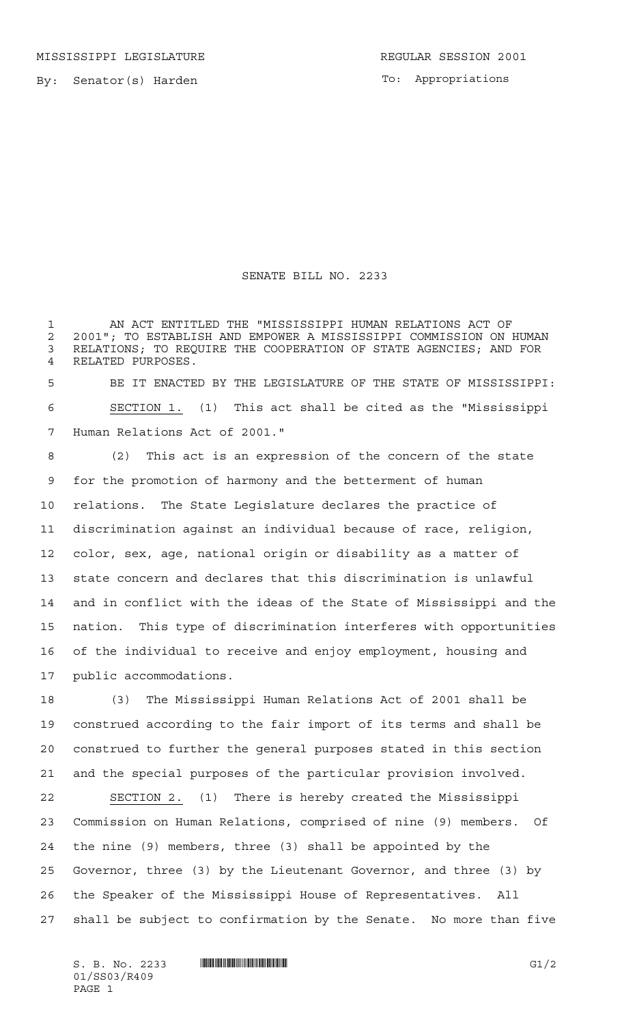MISSISSIPPI LEGISLATURE **REGULAR SESSION 2001** 

To: Appropriations

## SENATE BILL NO. 2233

 AN ACT ENTITLED THE "MISSISSIPPI HUMAN RELATIONS ACT OF 2 2001"; TO ESTABLISH AND EMPOWER A MISSISSIPPI COMMISSION ON HUMAN<br>3 RELATIONS: TO REOUIRE THE COOPERATION OF STATE AGENCIES: AND FOR RELATIONS; TO REQUIRE THE COOPERATION OF STATE AGENCIES; AND FOR RELATED PURPOSES.

 BE IT ENACTED BY THE LEGISLATURE OF THE STATE OF MISSISSIPPI: SECTION 1. (1) This act shall be cited as the "Mississippi Human Relations Act of 2001."

 (2) This act is an expression of the concern of the state for the promotion of harmony and the betterment of human relations. The State Legislature declares the practice of discrimination against an individual because of race, religion, color, sex, age, national origin or disability as a matter of state concern and declares that this discrimination is unlawful and in conflict with the ideas of the State of Mississippi and the nation. This type of discrimination interferes with opportunities of the individual to receive and enjoy employment, housing and public accommodations.

 (3) The Mississippi Human Relations Act of 2001 shall be construed according to the fair import of its terms and shall be construed to further the general purposes stated in this section and the special purposes of the particular provision involved.

 SECTION 2. (1) There is hereby created the Mississippi Commission on Human Relations, comprised of nine (9) members. Of the nine (9) members, three (3) shall be appointed by the Governor, three (3) by the Lieutenant Governor, and three (3) by the Speaker of the Mississippi House of Representatives. All shall be subject to confirmation by the Senate. No more than five

 $S. B. No. 2233$  **INNIFICALLY EXAMPLE ASSESSED ASSESSED ASSOCIATE**  $GI/2$ 01/SS03/R409 PAGE 1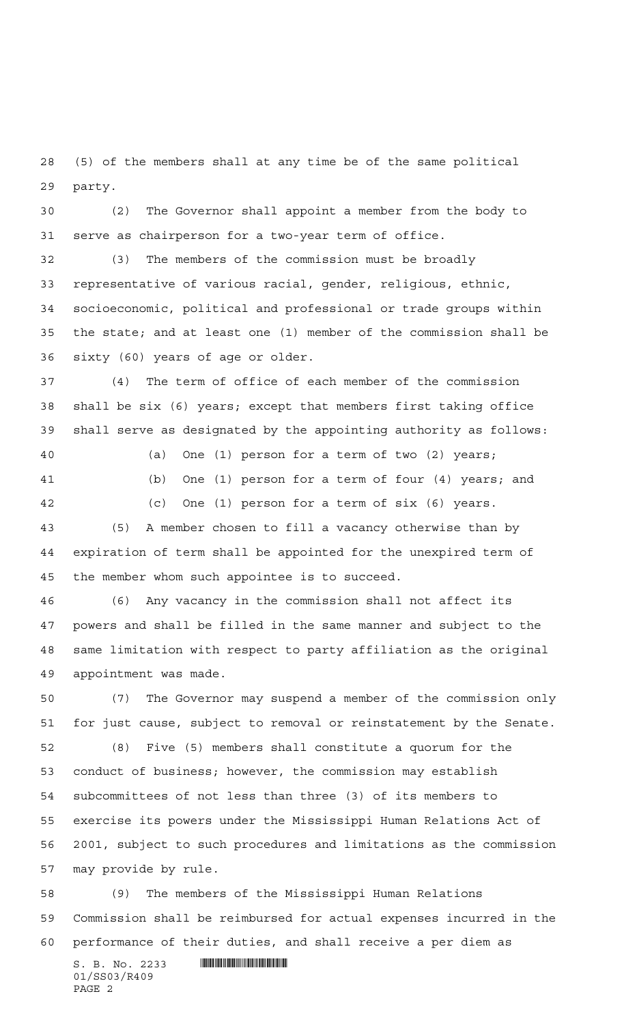(5) of the members shall at any time be of the same political party.

 (2) The Governor shall appoint a member from the body to serve as chairperson for a two-year term of office.

 (3) The members of the commission must be broadly representative of various racial, gender, religious, ethnic, socioeconomic, political and professional or trade groups within the state; and at least one (1) member of the commission shall be sixty (60) years of age or older.

 (4) The term of office of each member of the commission shall be six (6) years; except that members first taking office shall serve as designated by the appointing authority as follows:

 (a) One (1) person for a term of two (2) years; (b) One (1) person for a term of four (4) years; and (c) One (1) person for a term of six (6) years. (5) A member chosen to fill a vacancy otherwise than by expiration of term shall be appointed for the unexpired term of

the member whom such appointee is to succeed.

 (6) Any vacancy in the commission shall not affect its powers and shall be filled in the same manner and subject to the same limitation with respect to party affiliation as the original appointment was made.

 (7) The Governor may suspend a member of the commission only for just cause, subject to removal or reinstatement by the Senate. (8) Five (5) members shall constitute a quorum for the conduct of business; however, the commission may establish subcommittees of not less than three (3) of its members to exercise its powers under the Mississippi Human Relations Act of 2001, subject to such procedures and limitations as the commission may provide by rule.

 (9) The members of the Mississippi Human Relations Commission shall be reimbursed for actual expenses incurred in the performance of their duties, and shall receive a per diem as

S. B. No. 2233 **. SECONDER SPECIFICAL EXAMPLE A** 01/SS03/R409 PAGE 2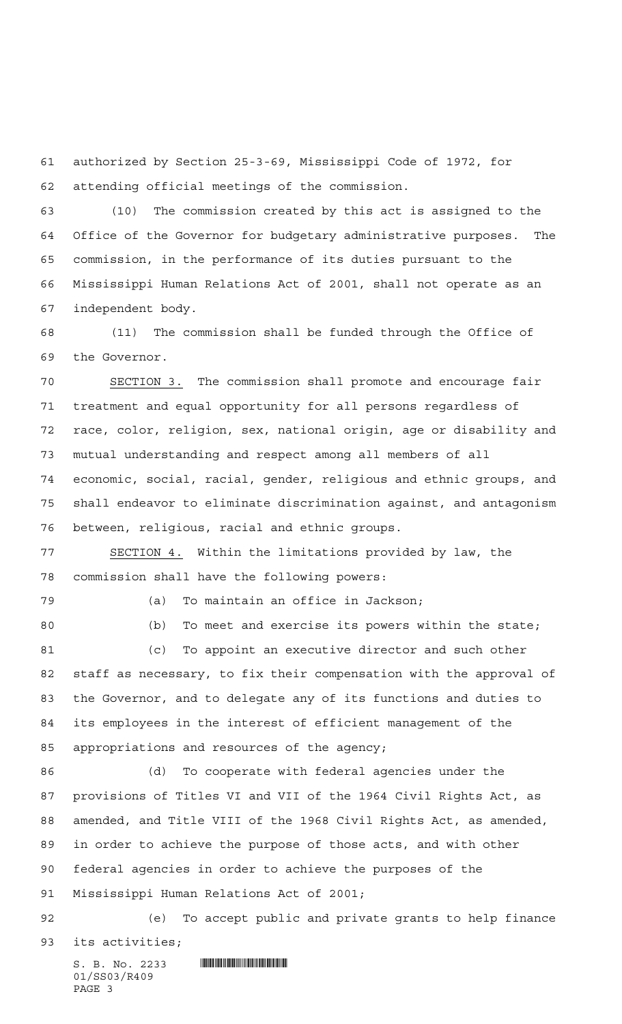authorized by Section 25-3-69, Mississippi Code of 1972, for attending official meetings of the commission.

 (10) The commission created by this act is assigned to the Office of the Governor for budgetary administrative purposes. The commission, in the performance of its duties pursuant to the Mississippi Human Relations Act of 2001, shall not operate as an independent body.

 (11) The commission shall be funded through the Office of the Governor.

 SECTION 3. The commission shall promote and encourage fair treatment and equal opportunity for all persons regardless of race, color, religion, sex, national origin, age or disability and mutual understanding and respect among all members of all economic, social, racial, gender, religious and ethnic groups, and shall endeavor to eliminate discrimination against, and antagonism between, religious, racial and ethnic groups.

 SECTION 4. Within the limitations provided by law, the commission shall have the following powers:

(a) To maintain an office in Jackson;

 (b) To meet and exercise its powers within the state; (c) To appoint an executive director and such other staff as necessary, to fix their compensation with the approval of the Governor, and to delegate any of its functions and duties to its employees in the interest of efficient management of the appropriations and resources of the agency;

 (d) To cooperate with federal agencies under the provisions of Titles VI and VII of the 1964 Civil Rights Act, as amended, and Title VIII of the 1968 Civil Rights Act, as amended, in order to achieve the purpose of those acts, and with other federal agencies in order to achieve the purposes of the Mississippi Human Relations Act of 2001;

 (e) To accept public and private grants to help finance its activities;

S. B. No. 2233 **. SECONDER SECONDER SECONDER SECONDER SERVICE** 01/SS03/R409 PAGE 3